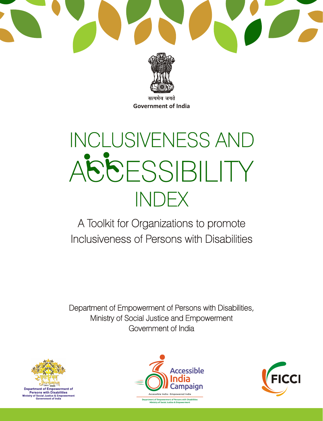



*µत्यमेव जयते* **Government of India**

# INCLUSIVENESS AND ACCESSIBILITY INDEX

## A Toolkit for Organizations to promote Inclusiveness of Persons with Disabilities

Department of Empowerment of Persons with Disabilities, Ministry of Social Justice and Empowerment Government of India





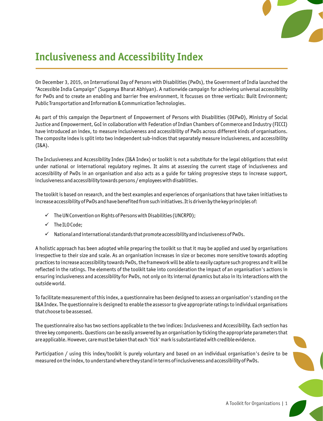

### **Inclusiveness and Accessibility Index**

On December 3, 2015, on International Day of Persons with Disabilities (PwDs), the Government of India launched the "Accessible India Campaign" (Sugamya Bharat Abhiyan). A nationwide campaign for achieving universal accessibility for PwDs and to create an enabling and barrier free environment, it focusses on three verticals: Built Environment; Public Transportation and Information & Communication Technologies.

As part of this campaign the Department of Empowerment of Persons with Disabilities (DEPwD), Ministry of Social Justice and Empowerment, GoI in collaboration with Federation of Indian Chambers of Commerce and Industry (FICCI) have introduced an index, to measure inclusiveness and accessibility of PwDs across different kinds of organisations. The composite index is split into two independent sub-indices that separately measure inclusiveness, and accessibility (I&A).

The Inclusiveness and Accessibility Index (I&A Index) or toolkit is not a substitute for the legal obligations that exist under national or international regulatory regimes. It aims at assessing the current stage of inclusiveness and accessibility of PwDs in an organisation and also acts as a guide for taking progressive steps to increase support, inclusiveness and accessibility towards persons / employees with disabilities.

The toolkit is based on research, and the best examples and experiences of organisations that have taken initiatives to increase accessibility of PwDs and have benefited from such initiatives. It is driven by the key principles of:

- $\checkmark$  The UN Convention on Rights of Persons with Disabilities (UNCRPD);
- $\checkmark$  The ILO Code;
- $\checkmark$  National and international standards that promote accessibility and inclusiveness of PwDs.

A holistic approach has been adopted while preparing the toolkit so that it may be applied and used by organisations irrespective to their size and scale. As an organisation increases in size or becomes more sensitive towards adopting practices to increase accessibility towards PwDs, the framework will be able to easily capture such progress and it will be reflected in the ratings. The elements of the toolkit take into consideration the impact of an organisation's actions in ensuring inclusiveness and accessibility for PwDs, not only on its internal dynamics but also in its interactions with the outside world.

To facilitate measurement of this index, a questionnaire has been designed to assess an organisation's standing on the I&A Index. The questionnaire is designed to enable the assessor to give appropriate ratings to individual organisations that choose to be assessed.

The questionnaire also has two sections applicable to the two indices: Inclusiveness and Accessibility. Each section has three key components. Questions can be easily answered by an organisation by ticking the appropriate parameters that are applicable. However, care must be taken that each 'tick' mark is substantiated with credible evidence.

Participation / using this index/toolkit is purely voluntary and based on an individual organisation's desire to be measured on the index, to understand where they stand in terms of inclusiveness and accessibility of PwDs.

A Toolkit for Organizations | 1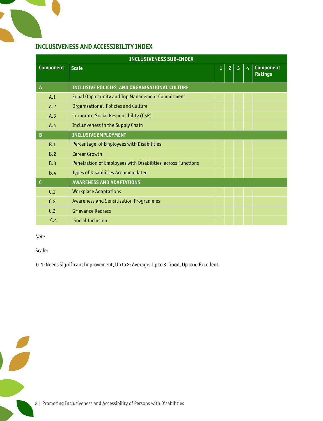

#### **INCLUSIVENESS AND ACCESSIBILITY INDEX INCLUSIVENESS AND ACCESSIBILITY INDEX**

| <b>INCLUSIVENESS SUB-INDEX</b> |                                                             |   |                |                |   |                                    |  |  |  |  |  |
|--------------------------------|-------------------------------------------------------------|---|----------------|----------------|---|------------------------------------|--|--|--|--|--|
| <b>Component</b>               | <b>Scale</b>                                                | 1 | $\overline{2}$ | $\overline{3}$ | 4 | <b>Component</b><br><b>Ratings</b> |  |  |  |  |  |
| A                              | INCLUSIVE POLICIES AND ORGANISATIONAL CULTURE               |   |                |                |   |                                    |  |  |  |  |  |
| A.1                            | <b>Equal Opportunity and Top Management Commitment</b>      |   |                |                |   |                                    |  |  |  |  |  |
| A.2                            | Organisational Policies and Culture                         |   |                |                |   |                                    |  |  |  |  |  |
| A.3                            | Corporate Social Responsibility (CSR)                       |   |                |                |   |                                    |  |  |  |  |  |
| A.4                            | Inclusiveness in the Supply Chain                           |   |                |                |   |                                    |  |  |  |  |  |
| B.                             | <b>INCLUSIVE EMPLOYMENT</b>                                 |   |                |                |   |                                    |  |  |  |  |  |
| B.1                            | Percentage of Employees with Disabilities                   |   |                |                |   |                                    |  |  |  |  |  |
| B.2                            | <b>Career Growth</b>                                        |   |                |                |   |                                    |  |  |  |  |  |
| B.3                            | Penetration of Employees with Disabilities across Functions |   |                |                |   |                                    |  |  |  |  |  |
| B.4                            | <b>Types of Disabilities Accommodated</b>                   |   |                |                |   |                                    |  |  |  |  |  |
| $\mathsf{C}$                   | <b>AWARENESS AND ADAPTATIONS</b>                            |   |                |                |   |                                    |  |  |  |  |  |
| C.1                            | <b>Workplace Adaptations</b>                                |   |                |                |   |                                    |  |  |  |  |  |
| C.2                            | <b>Awareness and Sensitisation Programmes</b>               |   |                |                |   |                                    |  |  |  |  |  |
| C.3                            | <b>Grievance Redress</b>                                    |   |                |                |   |                                    |  |  |  |  |  |
| C.4                            | <b>Social Inclusion</b>                                     |   |                |                |   |                                    |  |  |  |  |  |

*Note*

Scale:

0-1: Needs Significant Improvement, Up to 2: Average, Up to 3: Good, Up to 4: Excellent

2 | Promoting Inclusiveness and Accessibility of Persons with Disabilities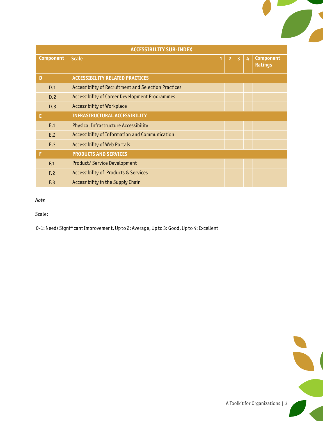|    |                  | <b>ACCESSIBILITY SUB-INDEX</b>                       |                |                         |   |                  |
|----|------------------|------------------------------------------------------|----------------|-------------------------|---|------------------|
|    | <b>Component</b> | <b>Scale</b>                                         | $\overline{c}$ | $\overline{\mathbf{3}}$ | 4 | <b>Component</b> |
|    |                  |                                                      |                |                         |   | <b>Ratings</b>   |
| D  |                  | <b>ACCESSIBILITY RELATED PRACTICES</b>               |                |                         |   |                  |
|    | D.1              | Accessibility of Recruitment and Selection Practices |                |                         |   |                  |
|    | D.2              | Accessibility of Career Development Programmes       |                |                         |   |                  |
|    | D.3              | <b>Accessibility of Workplace</b>                    |                |                         |   |                  |
| E. |                  | <b>INFRASTRUCTURAL ACCESSIBILITY</b>                 |                |                         |   |                  |
|    | E.1              | <b>Physical Infrastructure Accessibility</b>         |                |                         |   |                  |
|    | E.2              | Accessibility of Information and Communication       |                |                         |   |                  |
|    | E.3              | <b>Accessibility of Web Portals</b>                  |                |                         |   |                  |
| F  |                  | <b>PRODUCTS AND SERVICES</b>                         |                |                         |   |                  |
|    | F.1              | Product/ Service Development                         |                |                         |   |                  |
|    | F.2              | <b>Accessibility of Products &amp; Services</b>      |                |                         |   |                  |
|    | F.3              | Accessibility in the Supply Chain                    |                |                         |   |                  |

*Note*

Scale:

0-1: Needs Significant Improvement, Up to 2: Average, Up to 3: Good, Up to 4: Excellent

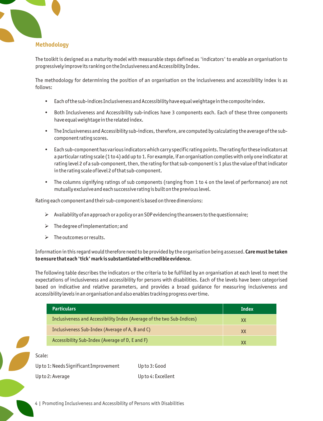

#### **Methodology**

The toolkit is designed as a maturity model with measurable steps defined as 'indicators' to enable an organisation to progressively improve its ranking on the Inclusiveness and Accessibility Index.

The methodology for determining the position of an organisation on the inclusiveness and accessibility index is as follows:

- Each of the sub-indices Inclusiveness and Accessibility have equal weightage in the composite index.
- Both Inclusiveness and Accessibility sub-indices have 3 components each. Each of these three components have equal weightage in the related index.
- The Inclusiveness and Accessibility sub-indices, therefore, are computed by calculating the average of the subcomponent rating scores.
- Each sub-component has various indicators which carry specific rating points. The rating for these indicators at a particular rating scale (1 to 4) add up to 1. For example, if an organisation complies with only one indicator at rating level 2 of a sub-component, then, the rating for that sub-component is 1 plus the value of that indicator in the rating scale of level 2 of that sub-component.
- The columns signifying ratings of sub components (ranging from 1 to 4 on the level of performance) are not mutually exclusive and each successive rating is built on the previous level.

Rating each component and their sub-component is based on three dimensions:

- $\triangleright$  Availability of an approach or a policy or an SOP evidencing the answers to the questionnaire;
- $\triangleright$  The degree of implementation; and
- $\triangleright$  The outcomes or results.

Information in this regard would therefore need to be provided by the organisation being assessed. **Care must be taken to ensure that each 'tick' mark is substantiated with credible evidence**.

The following table describes the indicators or the criteria to be fulfilled by an organisation at each level to meet the expectations of inclusiveness and accessibility for persons with disabilities. Each of the levels have been categorised based on indicative and relative parameters, and provides a broad guidance for measuring inclusiveness and accessibility levels in an organisation and also enables tracking progress over time.

| <b>Particulars</b>                                                     | Index |
|------------------------------------------------------------------------|-------|
| Inclusiveness and Accessibility Index (Average of the two Sub-Indices) | XХ    |
| Inclusiveness Sub-Index (Average of A, B and C)                        | XX    |
| Accessibility Sub-Index (Average of D, E and F)                        | XХ    |

#### Scale:

| Up to 1: Needs Significant Improvement | Up to 3: Good      |
|----------------------------------------|--------------------|
| Up to 2: Average                       | Up to 4: Excellent |

4 | Promoting Inclusiveness and Accessibility of Persons with Disabilities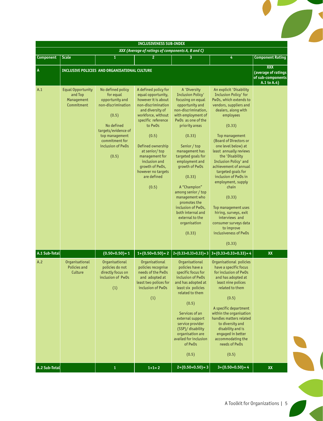| <b>INCLUSIVENESS SUB-INDEX</b>                    |                                                                 |                                                                                                                                                                                         |                                                                                                                                                                                                                                                                                                                       |                                                                                                                                                                                                                                                                                                                                                                                                                                                       |                                                                                                                                                                                                                                                                                                                                                                                                                                                                                                                                               |                                                                       |  |  |  |  |  |
|---------------------------------------------------|-----------------------------------------------------------------|-----------------------------------------------------------------------------------------------------------------------------------------------------------------------------------------|-----------------------------------------------------------------------------------------------------------------------------------------------------------------------------------------------------------------------------------------------------------------------------------------------------------------------|-------------------------------------------------------------------------------------------------------------------------------------------------------------------------------------------------------------------------------------------------------------------------------------------------------------------------------------------------------------------------------------------------------------------------------------------------------|-----------------------------------------------------------------------------------------------------------------------------------------------------------------------------------------------------------------------------------------------------------------------------------------------------------------------------------------------------------------------------------------------------------------------------------------------------------------------------------------------------------------------------------------------|-----------------------------------------------------------------------|--|--|--|--|--|
| XXX (Average of ratings of components A, B and C) |                                                                 |                                                                                                                                                                                         |                                                                                                                                                                                                                                                                                                                       |                                                                                                                                                                                                                                                                                                                                                                                                                                                       |                                                                                                                                                                                                                                                                                                                                                                                                                                                                                                                                               |                                                                       |  |  |  |  |  |
| Component                                         | <b>Scale</b>                                                    | $\mathbf{1}$                                                                                                                                                                            | $\overline{2}$                                                                                                                                                                                                                                                                                                        | 3                                                                                                                                                                                                                                                                                                                                                                                                                                                     | 4                                                                                                                                                                                                                                                                                                                                                                                                                                                                                                                                             | <b>Component Rating</b>                                               |  |  |  |  |  |
| A                                                 |                                                                 | INCLUSIVE POLICIES AND ORGANISATIONAL CULTURE                                                                                                                                           |                                                                                                                                                                                                                                                                                                                       |                                                                                                                                                                                                                                                                                                                                                                                                                                                       |                                                                                                                                                                                                                                                                                                                                                                                                                                                                                                                                               | <b>XXX</b><br>(average of ratings<br>of sub-components<br>A.1 to A.4) |  |  |  |  |  |
| A.1                                               | <b>Equal Opportunity</b><br>and Top<br>Management<br>Commitment | No defined policy<br>for equal<br>opportunity and<br>non-discrimination<br>(0.5)<br>No defined<br>targets/evidence of<br>top management<br>commitment for<br>inclusion of PwDs<br>(0.5) | A defined policy for<br>equal opportunity,<br>however it is about<br>non-discrimination<br>and diversity of<br>workforce, without<br>specific reference<br>to PwDs<br>(0.5)<br>Defined ownership<br>at senior/top<br>management for<br>inclusion and<br>growth of PwDs,<br>however no targets<br>are defined<br>(0.5) | A 'Diversity<br><b>Inclusion Policy'</b><br>focusing on equal<br>opportunity and<br>non-discrimination,<br>with employment of<br>PwDs as one of the<br>priority areas<br>(0.33)<br>Senior / top<br>management has<br>targeted goals for<br>employment and<br>growth of PwDs<br>(0.33)<br>A "Champion"<br>among senior / top<br>management who<br>promotes the<br>inclusion of PwDs,<br>both internal and<br>external to the<br>organisation<br>(0.33) | An explicit 'Disability<br>Inclusion Policy' for<br>PwDs, which extends to<br>vendors, suppliers and<br>dealers, along with<br>employees<br>(0.33)<br>Top management<br>(Board of Directors or<br>one level below) at<br>least annually reviews<br>the 'Disability<br>Inclusion Policy' and<br>achievement of annual<br>targeted goals for<br>inclusion of PwDs in<br>employment, supply<br>chain<br>(0.33)<br>Top management uses<br>hiring, surveys, exit<br>interviews and<br>consumer surveys data<br>to improve<br>inclusiveness of PwDs |                                                                       |  |  |  |  |  |
|                                                   |                                                                 |                                                                                                                                                                                         |                                                                                                                                                                                                                                                                                                                       |                                                                                                                                                                                                                                                                                                                                                                                                                                                       | (0.33)                                                                                                                                                                                                                                                                                                                                                                                                                                                                                                                                        |                                                                       |  |  |  |  |  |
| A.1 Sub-Total                                     |                                                                 | $(0.50+0.50)=1$                                                                                                                                                                         | $1+(0.50+0.50)=2$                                                                                                                                                                                                                                                                                                     |                                                                                                                                                                                                                                                                                                                                                                                                                                                       | $2+(0.33+0.33+0.33)=3\left(3+(0.33+0.33+0.33)=4\right)$                                                                                                                                                                                                                                                                                                                                                                                                                                                                                       | XX                                                                    |  |  |  |  |  |
| A.2                                               | Organisational<br>Policies and<br>Culture                       | Organisational<br>policies do not<br>directly focus on<br>inclusion of PwDs<br>(1)                                                                                                      | Organisational<br>policies recognise<br>needs of the PwDs<br>and adopted at<br>least two polices for<br>inclusion of PwDs<br>(1)                                                                                                                                                                                      | Organisational<br>policies have a<br>specific focus for<br>inclusion of PwDs<br>and has adopted at<br>least six policies<br>related to them<br>(0.5)<br>Services of an<br>external support<br>service provider<br>(SSP)/ disability<br>organisation are                                                                                                                                                                                               | Organisational policies<br>have a specific focus<br>for inclusion of PwDs<br>and has adopted at<br>least nine polices<br>related to them<br>(0.5)<br>A specific department<br>within the organisation<br>handles matters related<br>to diversity and<br>disability and is<br>engaged in better                                                                                                                                                                                                                                                |                                                                       |  |  |  |  |  |
|                                                   |                                                                 |                                                                                                                                                                                         |                                                                                                                                                                                                                                                                                                                       | availed for inclusion<br>of PwDs<br>(0.5)                                                                                                                                                                                                                                                                                                                                                                                                             | accommodating the<br>needs of PwDs<br>(0.5)                                                                                                                                                                                                                                                                                                                                                                                                                                                                                                   |                                                                       |  |  |  |  |  |
| A.2 Sub-Total                                     |                                                                 | $\mathbf{1}$                                                                                                                                                                            | $1+1=2$                                                                                                                                                                                                                                                                                                               | $2+(0.50+0.50)=3$                                                                                                                                                                                                                                                                                                                                                                                                                                     | $3+(0.50+0.50)=4$                                                                                                                                                                                                                                                                                                                                                                                                                                                                                                                             | XX                                                                    |  |  |  |  |  |
|                                                   |                                                                 |                                                                                                                                                                                         |                                                                                                                                                                                                                                                                                                                       |                                                                                                                                                                                                                                                                                                                                                                                                                                                       |                                                                                                                                                                                                                                                                                                                                                                                                                                                                                                                                               |                                                                       |  |  |  |  |  |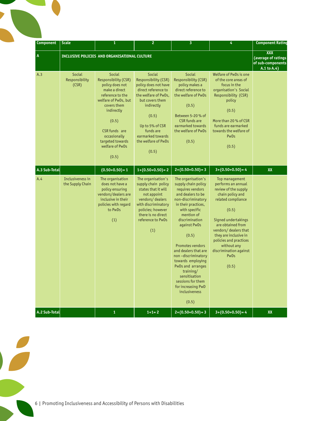| Component      | <b>Scale</b>                         | 1                                                                                                                                                                                                                                     | $\overline{2}$                                                                                                                                                                                                                       | 3                                                                                                                                                                                                                                                                                                                                                                                                                               | 4                                                                                                                                                                                                                                                                                                 | <b>Component Rating</b>                                                     |
|----------------|--------------------------------------|---------------------------------------------------------------------------------------------------------------------------------------------------------------------------------------------------------------------------------------|--------------------------------------------------------------------------------------------------------------------------------------------------------------------------------------------------------------------------------------|---------------------------------------------------------------------------------------------------------------------------------------------------------------------------------------------------------------------------------------------------------------------------------------------------------------------------------------------------------------------------------------------------------------------------------|---------------------------------------------------------------------------------------------------------------------------------------------------------------------------------------------------------------------------------------------------------------------------------------------------|-----------------------------------------------------------------------------|
| $\overline{A}$ |                                      | INCLUSIVE POLICIES AND ORGANISATIONAL CULTURE                                                                                                                                                                                         |                                                                                                                                                                                                                                      |                                                                                                                                                                                                                                                                                                                                                                                                                                 |                                                                                                                                                                                                                                                                                                   | $\overline{XXX}$<br>(average of ratings<br>of sub-components<br>A.1 to A.4) |
| A.3            | Social<br>Responsibility<br>(CSR)    | Social<br>Responsibility (CSR)<br>policy does not<br>make a direct<br>reference to the<br>welfare of PwDs, but<br>covers them<br>indirectly<br>(0.5)<br>CSR funds are<br>occasionally<br>targeted towards<br>welfare of PwDs<br>(0.5) | Social<br>Responsibility (CSR)<br>policy does not have<br>direct reference to<br>the welfare of PwDs.<br>but covers them<br>indirectly<br>(0.5)<br>Up to 5% of CSR<br>funds are<br>earmarked towards<br>the welfare of PwDs<br>(0.5) | Social<br>Responsibility (CSR)<br>policy makes a<br>direct reference to<br>the welfare of PwDs<br>(0.5)<br>Between 5-20 % of<br><b>CSR</b> funds are<br>earmarked towards<br>the welfare of PwDs<br>(0.5)                                                                                                                                                                                                                       | Welfare of PwDs is one<br>of the core areas of<br>focus in the<br>organisation's Social<br>Responsibility (CSR)<br>policy<br>(0.5)<br>More than 20 % of CSR<br>funds are earmarked<br>towards the welfare of<br>PwDs<br>(0.5)                                                                     |                                                                             |
| A.3 Sub-Total  |                                      | $(0.50+0.50)=1$                                                                                                                                                                                                                       | $1+(0.50+0.50)=2$                                                                                                                                                                                                                    | $2+(0.50+0.50)=3$                                                                                                                                                                                                                                                                                                                                                                                                               | $3+(0.50+0.50)=4$                                                                                                                                                                                                                                                                                 | <b>XX</b>                                                                   |
| A.4            | Inclusiveness in<br>the Supply Chain | The organisation<br>does not have a<br>policy ensuring<br>vendors/dealers are<br>inclusive in their<br>policies with regard<br>to PwDs<br>(1)                                                                                         | The organisation's<br>supply chain policy<br>states that it will<br>not appoint<br>vendors/dealers<br>with discriminatory<br>policies; however<br>there is no direct<br>reference to PwDs<br>(1)                                     | The organisation's<br>supply chain policy<br>requires vendors<br>and dealers to be<br>non-discriminatory<br>in their practices,<br>with specific<br>mention of<br>discrimination<br>against PwDs<br>(0.5)<br><b>Promotes vendors</b><br>and dealers that are<br>non-discriminatory<br>towards employing<br>PwDs and arranges<br>training/<br>sensitisation<br>sessions for them<br>for increasing PwD<br>inclusiveness<br>(0.5) | Top management<br>performs an annual<br>review of the supply<br>chain policy and<br>related compliance<br>(0.5)<br>Signed undertakings<br>are obtained from<br>vendors/ dealers that<br>they are inclusive in<br>policies and practices<br>without any<br>discrimination against<br>PwDs<br>(0.5) |                                                                             |
| A.2 Sub-Total  |                                      | $\mathbf{1}$                                                                                                                                                                                                                          | $1+1=2$                                                                                                                                                                                                                              | $2+(0.50+0.50)=3$                                                                                                                                                                                                                                                                                                                                                                                                               | $3+(0.50+0.50)=4$                                                                                                                                                                                                                                                                                 | XX                                                                          |

6 | Promoting Inclusiveness and Accessibility of Persons with Disabilities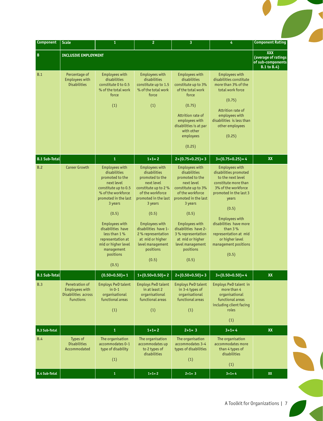| <b>Component</b>     | <b>Scale</b>                                                                | $\mathbf{1}$                                                                                                                                                                                                                                                                                             | $\overline{2}$                                                                                                                                                                                                                                                                                      | 3                                                                                                                                                                                                                                                                                    | 4                                                                                                                                                                                                                                                                                                           | <b>Component Rating</b>                                                      |
|----------------------|-----------------------------------------------------------------------------|----------------------------------------------------------------------------------------------------------------------------------------------------------------------------------------------------------------------------------------------------------------------------------------------------------|-----------------------------------------------------------------------------------------------------------------------------------------------------------------------------------------------------------------------------------------------------------------------------------------------------|--------------------------------------------------------------------------------------------------------------------------------------------------------------------------------------------------------------------------------------------------------------------------------------|-------------------------------------------------------------------------------------------------------------------------------------------------------------------------------------------------------------------------------------------------------------------------------------------------------------|------------------------------------------------------------------------------|
| $\, {\bf B}$         | <b>INCLUSIVE EMPLOYMENT</b>                                                 |                                                                                                                                                                                                                                                                                                          |                                                                                                                                                                                                                                                                                                     |                                                                                                                                                                                                                                                                                      |                                                                                                                                                                                                                                                                                                             | <b>XXX</b><br>(average of ratings<br>of sub-components<br><b>B.1</b> to B.4) |
| B.1                  | Percentage of<br>Employees with<br><b>Disabilities</b>                      | <b>Employees with</b><br>disabilities<br>constitute 0 to 0.5<br>% of the total work<br>force<br>(1)                                                                                                                                                                                                      | <b>Employees with</b><br>disabilities<br>constitute up to 1.5<br>% of the total work<br>force<br>(1)                                                                                                                                                                                                | Employees with<br>disabilities<br>constitute up to 3%<br>of the total work<br>force<br>(0.75)<br>Attrition rate of<br>employees with<br>disabilities is at par<br>with other<br>employees<br>(0.25)                                                                                  | <b>Employees with</b><br>disabilities constitute<br>more than 3% of the<br>total work force<br>(0.75)<br>Attrition rate of<br>employees with<br>disabilities is less than<br>other employees<br>(0.25)                                                                                                      |                                                                              |
| <b>B.1 Sub-Total</b> |                                                                             | $\mathbf{1}$                                                                                                                                                                                                                                                                                             | $1+1=2$                                                                                                                                                                                                                                                                                             | $2+(0.75+0.25)=3$                                                                                                                                                                                                                                                                    | $3+(0.75+0.25)=4$                                                                                                                                                                                                                                                                                           | XX                                                                           |
| B.2                  | <b>Career Growth</b>                                                        | <b>Employees with</b><br>disabilities<br>promoted to the<br>next level<br>constitute up to 0.5<br>% of the workforce<br>promoted in the last<br>3 years<br>(0.5)<br>Employees with<br>disabilities have<br>less than 1 %<br>representation at<br>mid or higher level<br>management<br>positions<br>(0.5) | <b>Employees with</b><br>disabilities<br>promoted to the<br>next level<br>constitute up to 2 %<br>of the workforce<br>promoted in the last<br>3 years<br>(0.5)<br><b>Employees with</b><br>disabilities have 1-<br>2 % representation<br>at mid or higher<br>level management<br>positions<br>(0.5) | Employees with<br>disabilities<br>promoted to the<br>next level<br>constitute up to 3%<br>of the workforce<br>promoted in the last<br>3 years<br>(0.5)<br>Employees with<br>disabilities have 2-<br>3 % representation<br>at mid or higher<br>level management<br>positions<br>(0.5) | <b>Employees with</b><br>disabilities promoted<br>to the next level<br>constitute more than<br>3% of the workforce<br>promoted in the last 3<br>years<br>(0.5)<br><b>Employees with</b><br>disabilities have more<br>than $3%$<br>representation at mid<br>or higher level<br>management positions<br>(0.5) |                                                                              |
| <b>B.1 Sub-Total</b> |                                                                             | $(0.50+0.50)=1$                                                                                                                                                                                                                                                                                          | $1+(0.50+0.50)=2$                                                                                                                                                                                                                                                                                   | $2+(0.50+0.50)=3$                                                                                                                                                                                                                                                                    | $3+(0.50+0.50)=4$                                                                                                                                                                                                                                                                                           | XX                                                                           |
| B.3                  | Penetration of<br>Employees with<br>Disabilities across<br><b>Functions</b> | <b>Employs PwD talent</b><br>$in 0-1$<br>organisational<br>functional areas<br>(1)                                                                                                                                                                                                                       | <b>Employs PwD talent</b><br>in at least 2<br>organisational<br>functional areas<br>(1)                                                                                                                                                                                                             | <b>Employs PwD talent</b><br>in 3-4 types of<br>organisational<br>functional areas<br>(1)                                                                                                                                                                                            | Employs PwD talent in<br>more than 4<br>organisational<br>functional areas<br>including client facing<br>roles                                                                                                                                                                                              |                                                                              |
|                      |                                                                             |                                                                                                                                                                                                                                                                                                          |                                                                                                                                                                                                                                                                                                     |                                                                                                                                                                                                                                                                                      | (1)                                                                                                                                                                                                                                                                                                         |                                                                              |
| <b>B.3 Sub-Total</b> |                                                                             | $\mathbf{1}$                                                                                                                                                                                                                                                                                             | $1+1=2$                                                                                                                                                                                                                                                                                             | $2+1=3$                                                                                                                                                                                                                                                                              | $3 + 1 = 4$                                                                                                                                                                                                                                                                                                 | <b>XX</b>                                                                    |
| B.4                  | Types of<br><b>Disabilities</b><br>Accommodated                             | The organisation<br>accommodates 0-1<br>type of disability<br>(1)                                                                                                                                                                                                                                        | The organisation<br>accommodates up<br>to 2 types of<br>disabilities                                                                                                                                                                                                                                | The organisation<br>accommodates 3-4<br>types of disabilities<br>(1)                                                                                                                                                                                                                 | The organisation<br>accommodates more<br>than 4 types of<br>disabilities<br>(1)                                                                                                                                                                                                                             |                                                                              |
| <b>B.4 Sub-Total</b> |                                                                             | $\mathbf{1}$                                                                                                                                                                                                                                                                                             | $1+1=2$                                                                                                                                                                                                                                                                                             | $2+1=3$                                                                                                                                                                                                                                                                              | $3 + 1 = 4$                                                                                                                                                                                                                                                                                                 | XX                                                                           |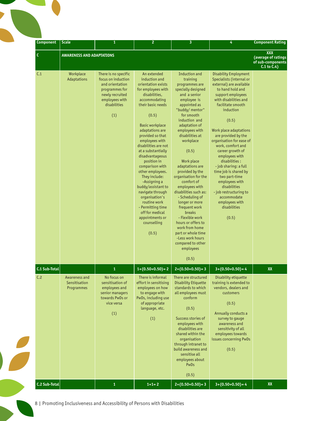| Component     | <b>Scale</b>                                 | 1                                                                                                                                           | 2 <sup>1</sup>                                                                                                                                                                                                                                                                                                                                                                                                                                                                                                                                     | 3                                                                                                                                                                                                                                                                                                                                                                                                                                                                                                                                                                                                  | 4                                                                                                                                                                                                                                                                                                                                                                                                                                                                                                                                                  | <b>Component Rating</b>                                                    |
|---------------|----------------------------------------------|---------------------------------------------------------------------------------------------------------------------------------------------|----------------------------------------------------------------------------------------------------------------------------------------------------------------------------------------------------------------------------------------------------------------------------------------------------------------------------------------------------------------------------------------------------------------------------------------------------------------------------------------------------------------------------------------------------|----------------------------------------------------------------------------------------------------------------------------------------------------------------------------------------------------------------------------------------------------------------------------------------------------------------------------------------------------------------------------------------------------------------------------------------------------------------------------------------------------------------------------------------------------------------------------------------------------|----------------------------------------------------------------------------------------------------------------------------------------------------------------------------------------------------------------------------------------------------------------------------------------------------------------------------------------------------------------------------------------------------------------------------------------------------------------------------------------------------------------------------------------------------|----------------------------------------------------------------------------|
| $\mathbf{C}$  | <b>AWARENESS AND ADAPTATIONS</b>             |                                                                                                                                             |                                                                                                                                                                                                                                                                                                                                                                                                                                                                                                                                                    |                                                                                                                                                                                                                                                                                                                                                                                                                                                                                                                                                                                                    |                                                                                                                                                                                                                                                                                                                                                                                                                                                                                                                                                    | <b>XXX</b><br>(average of ratings<br>of sub-components<br>$C.1$ to $C.4$ ) |
| C.1           | Workplace<br>Adaptations                     | There is no specific<br>focus on induction<br>and orientation<br>programmes for<br>newly recruited<br>employees with<br>disabilities<br>(1) | An extended<br>induction and<br>orientation exists<br>for employees with<br>disabilities,<br>accommodating<br>their basic needs<br>(0.5)<br><b>Basic workplace</b><br>adaptations are<br>provided so that<br>employees with<br>disabilities are not<br>at a substantially<br>disadvantageous<br>position in<br>comparison with<br>other employees.<br>They include:<br>-Assigning a<br>buddy/assistant to<br>navigate through<br>organisation's<br>routine work<br>- Permitting time<br>off for medical<br>appointments or<br>counselling<br>(0.5) | Induction and<br>training<br>programmes are<br>specially designed<br>and a senior<br>employee is<br>appointed as<br>"buddy/mentor"<br>for smooth<br>induction and<br>adaptation of<br>employees with<br>disabilities at<br>workplace<br>(0.5)<br>Work place<br>adaptations are<br>provided by the<br>organisation for the<br>comfort of<br>employees with<br>disabilities such as:<br>- Scheduling of<br>longer or more<br>frequent work<br>breaks<br>- Flexible work<br>hours or offers to<br>work from home<br>part or whole time<br>-Less work hours<br>compared to other<br>employees<br>(0.5) | <b>Disability Employment</b><br>Specialists (internal or<br>external) are available<br>to hand hold and<br>support employees<br>with disabilities and<br>facilitate smooth<br>induction<br>(0.5)<br>Work place adaptations<br>are provided by the<br>organisation for ease of<br>work, comfort and<br>career growth of<br>employees with<br>disabilities:<br>- job sharing: a full<br>time job is shared by<br>two part-time<br>employees with<br>disabilities<br>- job restructuring to<br>accommodate<br>employees with<br>disabilities<br>(0.5) |                                                                            |
| C.1 Sub-Total |                                              | $\mathbf{1}$                                                                                                                                | $1+(0.50+0.50)=2$                                                                                                                                                                                                                                                                                                                                                                                                                                                                                                                                  | $2+(0.50+0.50)=3$                                                                                                                                                                                                                                                                                                                                                                                                                                                                                                                                                                                  | $3+(0.50+0.50)=4$                                                                                                                                                                                                                                                                                                                                                                                                                                                                                                                                  | XX                                                                         |
| C.2           | Awareness and<br>Sensitisation<br>Programmes | No focus on<br>sensitisation of<br>employees and<br>senior managers<br>towards PwDs or<br>vice versa<br>(1)                                 | There is informal<br>effort in sensitising<br>employees on how<br>to engage with<br>PwDs, including use<br>of appropriate<br>language, etc.<br>(1)                                                                                                                                                                                                                                                                                                                                                                                                 | There are structured<br><b>Disability Etiquette</b><br>standards to which<br>all employees must<br>conform<br>(0.5)<br>Success stories of<br>employees with<br>disabilities are<br>shared within the<br>organisation<br>through intranet to<br>build awareness and<br>sensitise all<br>employees about<br>PwDs<br>(0.5)                                                                                                                                                                                                                                                                            | Disability etiquette<br>training is extended to<br>vendors, dealers and<br>customers<br>(0.5)<br>Annually conducts a<br>survey to gauge<br>awareness and<br>sensitivity of all<br>employees towards<br>issues concerning PwDs<br>(0.5)                                                                                                                                                                                                                                                                                                             |                                                                            |
|               |                                              |                                                                                                                                             |                                                                                                                                                                                                                                                                                                                                                                                                                                                                                                                                                    |                                                                                                                                                                                                                                                                                                                                                                                                                                                                                                                                                                                                    |                                                                                                                                                                                                                                                                                                                                                                                                                                                                                                                                                    |                                                                            |

8 | Promoting Inclusiveness and Accessibility of Persons with Disabilities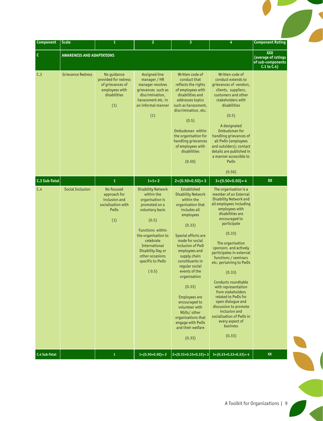| <b>Component</b>     | <b>Scale</b>                     | $\mathbf{1}$                                                                                     | $\overline{2}$                                                                                                                                                                                                                                        | 3                                                                                                                                                                                                                                                                                                                                                                                                                                                    | 4                                                                                                                                                                                                                                                                                                                                                                                                                                                                                                                                                              | <b>Component Rating</b>                                                    |
|----------------------|----------------------------------|--------------------------------------------------------------------------------------------------|-------------------------------------------------------------------------------------------------------------------------------------------------------------------------------------------------------------------------------------------------------|------------------------------------------------------------------------------------------------------------------------------------------------------------------------------------------------------------------------------------------------------------------------------------------------------------------------------------------------------------------------------------------------------------------------------------------------------|----------------------------------------------------------------------------------------------------------------------------------------------------------------------------------------------------------------------------------------------------------------------------------------------------------------------------------------------------------------------------------------------------------------------------------------------------------------------------------------------------------------------------------------------------------------|----------------------------------------------------------------------------|
| $\mathsf{C}$         | <b>AWARENESS AND ADAPTATIONS</b> |                                                                                                  |                                                                                                                                                                                                                                                       |                                                                                                                                                                                                                                                                                                                                                                                                                                                      |                                                                                                                                                                                                                                                                                                                                                                                                                                                                                                                                                                | <b>XXX</b><br>(average of ratings<br>of sub-components<br>$C.1$ to $C.4$ ) |
| C.3                  | <b>Grievance Redress</b>         | No guidance<br>provided for redress<br>of grievances of<br>employees with<br>disabilities<br>(1) | Assigned line<br>manager / HR<br>manager resolves<br>grievances such as<br>discrimination,<br>harassment etc. in<br>an informal manner<br>(1)                                                                                                         | Written code of<br>conduct that<br>reflects the rights<br>of employees with<br>disabilities and<br>addresses topics<br>such as harassment,<br>discrimination, etc.<br>(0.5)<br>Ombudsman within<br>the organisation for<br>handling grievances<br>of employees with<br>disabilities<br>(0.50)                                                                                                                                                        | Written code of<br>conduct extends to<br>grievances of vendors,<br>clients, suppliers,<br>customers and other<br>stakeholders with<br>disabilities<br>(0.5)<br>A designated<br>Ombudsman for<br>handling grievances of<br>all PwDs (employees<br>and outsiders); contact<br>details are published in<br>a manner accessible to<br>PwDs<br>(0.50)                                                                                                                                                                                                               |                                                                            |
| <b>C.3 Sub-Total</b> |                                  | $\mathbf{1}$                                                                                     | $1+1=2$                                                                                                                                                                                                                                               | $2+(0.50+0.50)=3$                                                                                                                                                                                                                                                                                                                                                                                                                                    | $3+(0.50+0.50)=4$                                                                                                                                                                                                                                                                                                                                                                                                                                                                                                                                              | <b>XX</b>                                                                  |
| C.4                  | Social Inclusion                 | No focused<br>approach for<br>inclusion and<br>socialisation with<br>PwDs<br>(1)                 | <b>Disability Network</b><br>within the<br>organisation is<br>promoted on a<br>voluntary basis<br>(0.5)<br>Functions within<br>the organisation to<br>celebrate<br>International<br>Disability Day or<br>other occasions<br>specific to PwDs<br>(0.5) | Established<br><b>Disability Network</b><br>within the<br>organisation that<br>includes all<br>employees<br>(0.33)<br>Special efforts are<br>made for social<br>inclusion of PwD<br>employees and<br>supply chain<br>constituents in<br>reqular social<br>events of the<br>organisation<br>(0.33)<br><b>Employees are</b><br>encouraged to<br>volunteer with<br>NGOs/ other<br>organisations that<br>engage with PwDs<br>and their welfare<br>(0.33) | The organisation is a<br>member of an External<br><b>Disability Network and</b><br>all employees including<br>employees with<br>disabilities are<br>encouraged to<br>participate<br>(0.33)<br>The organisation<br>sponsors and actively<br>participates in external<br>functions / seminars<br>etc. pertaining to PwDs<br>(0.33)<br>Conducts roundtable<br>with representation<br>from stakeholders<br>related to PwDs for<br>open dialogue and<br>discussion to promote<br>inclusion and<br>socialisation of PwDs in<br>every aspect of<br>business<br>(0.33) |                                                                            |
| <b>C.4 Sub-Total</b> |                                  | $\mathbf{1}$                                                                                     | $1+(0.50+0.50)=2$                                                                                                                                                                                                                                     | $2+(0.33+0.33+0.33)=3$                                                                                                                                                                                                                                                                                                                                                                                                                               | $3+(0.33+0.33+0.33)=4$                                                                                                                                                                                                                                                                                                                                                                                                                                                                                                                                         | XX                                                                         |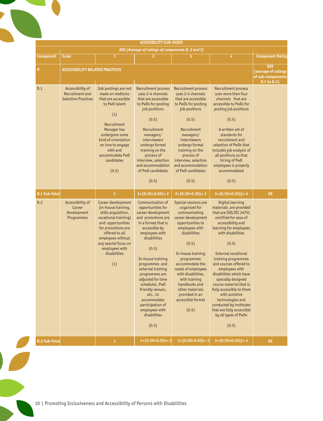|                      |                                                                   |                                                                                                                                                                                                                                             | <b>ACESSIBILITY SUB-INDEX</b>                                                                                                                                                                                                                                                                                                                                                                           |                                                                                                                                                                                                                                                                                                                                                    |                                                                                                                                                                                                                                                                                                                                                                                                                                                                                                                    |                                                                       |
|----------------------|-------------------------------------------------------------------|---------------------------------------------------------------------------------------------------------------------------------------------------------------------------------------------------------------------------------------------|---------------------------------------------------------------------------------------------------------------------------------------------------------------------------------------------------------------------------------------------------------------------------------------------------------------------------------------------------------------------------------------------------------|----------------------------------------------------------------------------------------------------------------------------------------------------------------------------------------------------------------------------------------------------------------------------------------------------------------------------------------------------|--------------------------------------------------------------------------------------------------------------------------------------------------------------------------------------------------------------------------------------------------------------------------------------------------------------------------------------------------------------------------------------------------------------------------------------------------------------------------------------------------------------------|-----------------------------------------------------------------------|
| <b>Component</b>     | <b>Scale</b>                                                      | $\mathbf{1}$                                                                                                                                                                                                                                | XXX (Average of ratings of components D, E and F)<br>$\overline{c}$                                                                                                                                                                                                                                                                                                                                     | 3                                                                                                                                                                                                                                                                                                                                                  | 4                                                                                                                                                                                                                                                                                                                                                                                                                                                                                                                  | <b>Component Rating</b>                                               |
| D                    | <b>ACCESSIBILITY RELATED PRACTICES</b>                            |                                                                                                                                                                                                                                             |                                                                                                                                                                                                                                                                                                                                                                                                         |                                                                                                                                                                                                                                                                                                                                                    |                                                                                                                                                                                                                                                                                                                                                                                                                                                                                                                    | <b>XXX</b><br>(average of ratings<br>of sub-components<br>D.1 to D.3) |
| D.1                  | Accessibility of<br>Recruitment and<br><b>Selection Practices</b> | Job postings are not<br>made on mediums<br>that are accessible<br>to PwD talent<br>(1)<br>Recruitment<br>Manager has<br>undergone some<br>kind of orientation<br>on how to engage<br>with and<br>accommodate PwD<br>candidates<br>(0.5)     | Recruitment process<br>uses 2-4 channels<br>that are accessible<br>to PwDs for posting<br>job positions<br>(0.5)<br>Recruitment<br>managers/<br>interviewers<br>undergo formal<br>training on the<br>process of<br>interview, selection<br>and accommodation<br>of PwD candidates<br>(0.5)                                                                                                              | Recruitment process<br>uses 2-4 channels<br>that are accessible<br>to PwDs for posting<br>job positions<br>(0.5)<br>Recruitment<br>managers/<br>interviewers<br>undergo formal<br>training on the<br>process of<br>interview, selection<br>and accommodation<br>of PwD candidates<br>(0.5)                                                         | Recruitment process<br>uses more than four<br>channels that are<br>accessible to PwDs for<br>posting job positions<br>(0.5)<br>A written set of<br>standards for<br>recruitment and<br>selection of PwDs that<br>includes job analysis of<br>all positions so that<br>hiring of PwD<br>employees is properly<br>accommodated<br>(0.5)                                                                                                                                                                              |                                                                       |
| <b>D.1 Sub-Total</b> |                                                                   | $\mathbf 1$                                                                                                                                                                                                                                 | $1+(0.50+0.50)=2$                                                                                                                                                                                                                                                                                                                                                                                       | $2+(0.50+0.50)=3$                                                                                                                                                                                                                                                                                                                                  | $3+(0.50+0.50))=4$                                                                                                                                                                                                                                                                                                                                                                                                                                                                                                 | XX                                                                    |
| D.2                  | Accessibility of<br>Career<br>Development<br>Programmes           | Career development<br>(in-house training,<br>skills acquisition,<br>vocational training)<br>and opportunities<br>for promotions are<br>offered to all<br>employees without<br>any special focus on<br>employees with<br>disabilities<br>(1) | Communication of<br>opportunities for<br>career development<br>and promotions are<br>in a format that is<br>accessible by<br>employees with<br>disabilities<br>(0.5)<br>In-house training<br>programmes and<br>external training<br>programmes are<br>adjusted for time<br>schedules, PwD<br>friendly venues,<br>etc., to<br>accommodate<br>participation of<br>employees with<br>disabilities<br>(0.5) | Special sessions are<br>organised for<br>communicating<br>career development<br>opportunities to<br>employees with<br>disabilities<br>(0.5)<br>In-house training<br>programmes<br>accommodate the<br>needs of employees<br>with disabilities,<br>with training<br>handbooks and<br>other materials<br>provided in an<br>accessible format<br>(0.5) | Digital learning<br>materials are provided<br>that are ISO/IEC 24751<br>certified for ease of<br>accessibility and<br>learning for employees<br>with disabilities<br>(0.5)<br><b>External vocational</b><br>training programmes<br>and courses offered to<br>employees with<br>disabilities which have<br>specially designed<br>course material that is<br>fully accessible to them<br>with assistive<br>technologies and<br>conducted by institutes<br>that are fully accessible<br>by all types of PwDs<br>(0.5) |                                                                       |
| <b>D.2 Sub-Total</b> |                                                                   | $\mathbf{1}$                                                                                                                                                                                                                                | $1+(0.50+0.50)=2$                                                                                                                                                                                                                                                                                                                                                                                       | $2+(0.50+0.50)=3$                                                                                                                                                                                                                                                                                                                                  | $3+(0.50+0.50))=4$                                                                                                                                                                                                                                                                                                                                                                                                                                                                                                 | XX                                                                    |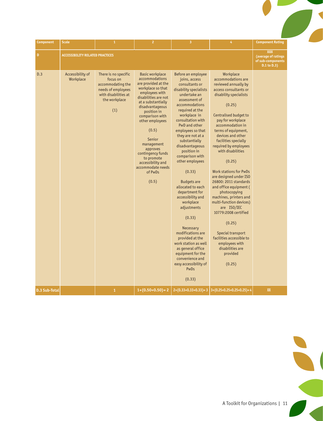| Component            | <b>Scale</b>                           | 1                                                                                                                           | $\overline{2}$                                                                                                                                                                                                                                                                                                                                                             | 3                                                                                                                                                                                                                                                                                                                                                                                                                                                                                                                                                                                                                                                                     | 4                                                                                                                                                                                                                                                                                                                                                                                                                                                                                                                                                                                                                                                                   | <b>Component Rating</b>                                               |
|----------------------|----------------------------------------|-----------------------------------------------------------------------------------------------------------------------------|----------------------------------------------------------------------------------------------------------------------------------------------------------------------------------------------------------------------------------------------------------------------------------------------------------------------------------------------------------------------------|-----------------------------------------------------------------------------------------------------------------------------------------------------------------------------------------------------------------------------------------------------------------------------------------------------------------------------------------------------------------------------------------------------------------------------------------------------------------------------------------------------------------------------------------------------------------------------------------------------------------------------------------------------------------------|---------------------------------------------------------------------------------------------------------------------------------------------------------------------------------------------------------------------------------------------------------------------------------------------------------------------------------------------------------------------------------------------------------------------------------------------------------------------------------------------------------------------------------------------------------------------------------------------------------------------------------------------------------------------|-----------------------------------------------------------------------|
| D                    | <b>ACCESSIBILITY RELATED PRACTICES</b> |                                                                                                                             |                                                                                                                                                                                                                                                                                                                                                                            |                                                                                                                                                                                                                                                                                                                                                                                                                                                                                                                                                                                                                                                                       |                                                                                                                                                                                                                                                                                                                                                                                                                                                                                                                                                                                                                                                                     | <b>XXX</b><br>(average of ratings<br>of sub-components<br>D.1 to D.3) |
| D.3                  | Accessibility of<br>Workplace          | There is no specific<br>focus on<br>accommodating the<br>needs of employees<br>with disabilities at<br>the workplace<br>(1) | <b>Basic workplace</b><br>accommodations<br>are provided at the<br>workplace so that<br>employees with<br>disabilities are not<br>at a substantially<br>disadvantageous<br>position in<br>comparison with<br>other employees<br>(0.5)<br>Senior<br>management<br>approves<br>contingency funds<br>to promote<br>accessibility and<br>accommodate needs<br>of PwDs<br>(0.5) | Before an employee<br>joins, access<br>consultants or<br>disability specialists<br>undertake an<br>assessment of<br>accommodations<br>required at the<br>workplace in<br>consultation with<br>PwD and other<br>employees so that<br>they are not at a<br>substantially<br>disadvantageous<br>position in<br>comparison with<br>other employees<br>(0.33)<br><b>Budgets are</b><br>allocated to each<br>department for<br>accessibility and<br>workplace<br>adjustments<br>(0.33)<br>Necessary<br>modifications are<br>provided at the<br>work station as well<br>as general office<br>equipment for the<br>convenience and<br>easy accessibility of<br>PwDs<br>(0.33) | Workplace<br>accommodations are<br>reviewed annually by<br>access consultants or<br>disability specialists<br>(0.25)<br>Centralised budget to<br>pay for workplace<br>accommodation in<br>terms of equipment,<br>devices and other<br>facilities specially<br>required by employees<br>with disabilities<br>(0.25)<br><b>Work stations for PwDs</b><br>are designed under ISO<br>26800: 2011 standards<br>and office equipment (<br>photocopying<br>machines, printers and<br>multi-function devices)<br>are ISO/IEC<br>10779:2008 certified<br>(0.25)<br>Special transport<br>facilities accessible to<br>employees with<br>disabilities are<br>provided<br>(0.25) |                                                                       |
| <b>D.3 Sub-Total</b> |                                        | $\mathbf{1}$                                                                                                                | $1+(0.50+0.50)=2$                                                                                                                                                                                                                                                                                                                                                          |                                                                                                                                                                                                                                                                                                                                                                                                                                                                                                                                                                                                                                                                       | $2+(0.33+0.33+0.33)=3$ $3+(0.25+0.25+0.25+0.25)=4$                                                                                                                                                                                                                                                                                                                                                                                                                                                                                                                                                                                                                  | XX                                                                    |

T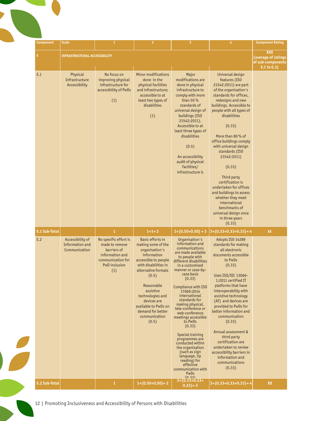| Component            | <b>Scale</b>                                         | 1                                                                                                                      | $\overline{2}$                                                                                                                                                                                                                                                                                      | 3                                                                                                                                                                                                                                                                                                                                                                                                                                                                                                                                                          | 4                                                                                                                                                                                                                                                                                                                                                                                                                                                                                                                                           | <b>Component Rating</b>                                               |
|----------------------|------------------------------------------------------|------------------------------------------------------------------------------------------------------------------------|-----------------------------------------------------------------------------------------------------------------------------------------------------------------------------------------------------------------------------------------------------------------------------------------------------|------------------------------------------------------------------------------------------------------------------------------------------------------------------------------------------------------------------------------------------------------------------------------------------------------------------------------------------------------------------------------------------------------------------------------------------------------------------------------------------------------------------------------------------------------------|---------------------------------------------------------------------------------------------------------------------------------------------------------------------------------------------------------------------------------------------------------------------------------------------------------------------------------------------------------------------------------------------------------------------------------------------------------------------------------------------------------------------------------------------|-----------------------------------------------------------------------|
| Ε                    | <b>INFRASTRUCTURAL ACCESSIBILITY</b>                 |                                                                                                                        |                                                                                                                                                                                                                                                                                                     |                                                                                                                                                                                                                                                                                                                                                                                                                                                                                                                                                            |                                                                                                                                                                                                                                                                                                                                                                                                                                                                                                                                             | <b>XXX</b><br>(average of ratings<br>of sub-components<br>E.1 to E.3) |
| E.1                  | Physical<br>Infrastructure<br>Accessibility          | No focus on<br>improving physical<br>infrastructure for<br>accessibility of PwDs<br>(1)                                | Minor modifications<br>done in the<br>physical facilities<br>and infrastructure;<br>accessible to at<br>least two types of<br>disabilities<br>(1)                                                                                                                                                   | Major<br>modifications are<br>done in physical<br>infrastructure to<br>comply with more<br>than 50 $%$<br>standards of<br>universal design of<br>buildings (ISO<br>21542:2011).<br>Accessible to at<br>least three types of<br>disabilities<br>(0.5)<br>An accessibility<br>audit of physical<br>facilities/<br>infrastructure is                                                                                                                                                                                                                          | Universal design<br>features (ISO<br>21542:2011) are part<br>of the organisation's<br>standards for offices,<br>redesigns and new<br>buildings. Accessible to<br>people with all types of<br>disabilities<br>(0.33)<br>More than 80 % of<br>office buildings comply<br>with universal design<br>standards (ISO<br>21542:2011)<br>(0.33)<br>Third party<br>certification is<br>undertaken for offices<br>and buildings to assess<br>whether they meet<br>international<br>benchmarks of<br>universal design once<br>in three years<br>(0.33) |                                                                       |
| <b>E.1 Sub-Total</b> |                                                      | $\mathbf{1}$                                                                                                           | $1+1=2$                                                                                                                                                                                                                                                                                             | $2+(0.50+0.50)=3$                                                                                                                                                                                                                                                                                                                                                                                                                                                                                                                                          | $ 3+(0.33+0.33+0.33)=4$                                                                                                                                                                                                                                                                                                                                                                                                                                                                                                                     | XX                                                                    |
| E.2                  | Accessibility of<br>Information and<br>Communication | No specific effort is<br>made to remove<br>barriers of<br>information and<br>communication for<br>PwD inclusion<br>(1) | <b>Basic efforts in</b><br>making some of the<br>organisation's<br>information<br>accessible to people<br>with disabilities in<br>alternative formats<br>(0.5)<br>Reasonable<br>assistive<br>technologies and<br>devices are<br>available to PwDs on<br>demand for better<br>communication<br>(0.5) | Organisation's<br>information and<br>communications<br>are made available<br>to people with<br>different disabilities<br>in a customised<br>manner or case-by-<br>case basis<br>(0.33)<br>Compliance with ISO<br>17069:2014<br>international<br>standards for<br>making physical,<br>tele-conference or<br>web-conference<br>meetings accessible<br>to PwDs<br>(0.33)<br>Special training<br>programmes are<br>conducted within<br>the organisation<br>(such as sign<br>language, lip<br>reading) for<br>effective<br>communication with<br>PwDs<br>(0.33) | Adopts ISO 14289<br>standards for making<br>all electronic<br>documents accessible<br>to PwDs<br>(0.33)<br>Uses ISO/IEC 13066-<br>1:2011 certified IT<br>platforms that have<br>interoperability with<br>assistive technology<br>(AT) and devices are<br>provided to PwDs for<br>better information and<br>communication<br>(0.33)<br>Annual assessment &<br>third party<br>certification are<br>undertaken to review<br>accessibility barriers in<br>information and<br>communications<br>(0.33)                                           |                                                                       |
| <b>E.2 Sub-Total</b> |                                                      | $\mathbf{1}$                                                                                                           | $1+(0.50+0.50)=2$                                                                                                                                                                                                                                                                                   | $2+(0.33+0.33+)$<br>$(0.33) = 3$                                                                                                                                                                                                                                                                                                                                                                                                                                                                                                                           | $3+(0.33+0.33+0.33)=4$                                                                                                                                                                                                                                                                                                                                                                                                                                                                                                                      | XX                                                                    |

12 | Promoting Inclusiveness and Accessibility of Persons with Disabilities

i<br>Linda

Ì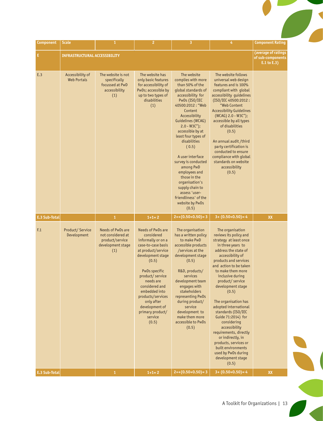| Component            | <b>Scale</b>                           | 1                                                                                     | $\overline{2}$                                                                                                                                                                                                                                                                                                    | 3                                                                                                                                                                                                                                                                                                                                                                                                                                                                                | 4                                                                                                                                                                                                                                                                                                                                                                                                                                                                                                                                                                   | <b>Component Rating</b>                                 |
|----------------------|----------------------------------------|---------------------------------------------------------------------------------------|-------------------------------------------------------------------------------------------------------------------------------------------------------------------------------------------------------------------------------------------------------------------------------------------------------------------|----------------------------------------------------------------------------------------------------------------------------------------------------------------------------------------------------------------------------------------------------------------------------------------------------------------------------------------------------------------------------------------------------------------------------------------------------------------------------------|---------------------------------------------------------------------------------------------------------------------------------------------------------------------------------------------------------------------------------------------------------------------------------------------------------------------------------------------------------------------------------------------------------------------------------------------------------------------------------------------------------------------------------------------------------------------|---------------------------------------------------------|
| E                    | <b>INFRASTRUCTURAL ACCESSIBILITY</b>   |                                                                                       |                                                                                                                                                                                                                                                                                                                   |                                                                                                                                                                                                                                                                                                                                                                                                                                                                                  |                                                                                                                                                                                                                                                                                                                                                                                                                                                                                                                                                                     | (average of ratings<br>of sub-components<br>E.1 to E.3) |
| E.3                  | Accessibility of<br><b>Web Portals</b> | The website is not<br>specifically<br>focussed at PwD<br>accessibility<br>(1)         | The website has<br>only basic features<br>for accessibility of<br>PwDs; accessible by<br>up to two types of<br>disabilities<br>(1)                                                                                                                                                                                | The website<br>complies with more<br>than 50% of the<br>global standards of<br>accessibility for<br>PwDs (ISO/IEC<br>40500:2012: "Web<br>Content<br>Accessibility<br>Guidelines (WCAG)<br>$2.0 - W3C$ ");<br>accessible by at<br>least four types of<br>disabilities<br>(0.5)<br>A user interface<br>survey is conducted<br>among PwD<br>employees and<br>those in the<br>organisation's<br>supply chain to<br>assess 'user-<br>friendliness' of the<br>website by PwDs<br>(0.5) | The website follows<br>universal web design<br>features and is 100%<br>compliant with global<br>accessibility guidelines<br>(ISO/IEC 40500:2012:<br>"Web Content<br><b>Accessibility Guidelines</b><br>(WCAG) 2.0 - W3C");<br>accessible by all types<br>of disabilities<br>(0.5)<br>An annual audit / third<br>party certification is<br>conducted to ensure<br>compliance with global<br>standards on website<br>accessibility<br>(0.5)                                                                                                                           |                                                         |
| <b>E.3 Sub-Total</b> |                                        | $\mathbf{1}$                                                                          | $1+1=2$                                                                                                                                                                                                                                                                                                           | $2++(0.50+0.50)=3$                                                                                                                                                                                                                                                                                                                                                                                                                                                               | $3 + (0.50 + 0.50) = 4$                                                                                                                                                                                                                                                                                                                                                                                                                                                                                                                                             | <b>XX</b>                                               |
| F.1                  | Product/ Service<br>Development        | Needs of PwDs are<br>not considered at<br>product/service<br>development stage<br>(1) | Needs of PwDs are<br>considered<br>informally or on a<br>case-to-case basis<br>at product/service<br>development stage<br>(0.5)<br>PwDs specific<br>product/ service<br>needs are<br>considered and<br>embedded into<br>products/services<br>only after<br>development of<br>primary product/<br>service<br>(0.5) | The organisation<br>has a written policy<br>to make PwD<br>accessible products<br>/services at the<br>development stage<br>(0.5)<br>R&D, products/<br>services<br>development team<br>engages with<br>stakeholders<br>representing PwDs<br>during product/<br>service<br>development to<br>make them more<br>accessible to PwDs<br>(0.5)                                                                                                                                         | The organisation<br>reviews its policy and<br>strategy at least once<br>in three years to<br>address the state of<br>accessibility of<br>products and services<br>and action to be taken<br>to make them more<br>inclusive during<br>product/ service<br>development stage<br>(0.5)<br>The organisation has<br>adopted international<br>standards (ISO/IEC<br>Guide 71:2014) for<br>considering<br>accessibility<br>requirements, directly<br>or indirectly, in<br>products, services or<br>built environments<br>used by PwDs during<br>development stage<br>(0.5) |                                                         |
| <b>E.3 Sub-Total</b> |                                        | $\mathbf{1}$                                                                          | $1+1=2$                                                                                                                                                                                                                                                                                                           | $2++(0.50+0.50)=3$                                                                                                                                                                                                                                                                                                                                                                                                                                                               | $3 + (0.50 + 0.50) = 4$                                                                                                                                                                                                                                                                                                                                                                                                                                                                                                                                             | <b>XX</b>                                               |

O.

 $\frac{1}{\sqrt{2}}$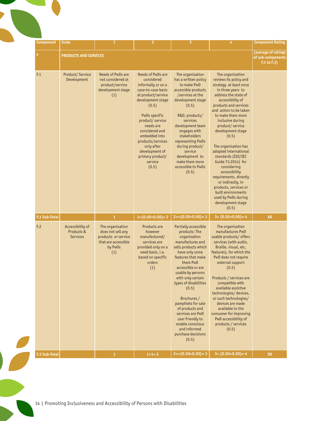| <b>Component</b> | <b>Scale</b>                                      | 1                                                                                                     | 2                                                                                                                                                                                                                                                                                                                 | 3                                                                                                                                                                                                                                                                                                                                                                                                                         | 4                                                                                                                                                                                                                                                                                                                                                                                                                                                                                                                                                                   | <b>Component Rating</b>                                 |
|------------------|---------------------------------------------------|-------------------------------------------------------------------------------------------------------|-------------------------------------------------------------------------------------------------------------------------------------------------------------------------------------------------------------------------------------------------------------------------------------------------------------------|---------------------------------------------------------------------------------------------------------------------------------------------------------------------------------------------------------------------------------------------------------------------------------------------------------------------------------------------------------------------------------------------------------------------------|---------------------------------------------------------------------------------------------------------------------------------------------------------------------------------------------------------------------------------------------------------------------------------------------------------------------------------------------------------------------------------------------------------------------------------------------------------------------------------------------------------------------------------------------------------------------|---------------------------------------------------------|
| F                | <b>PRODUCTS AND SERVICES</b>                      |                                                                                                       |                                                                                                                                                                                                                                                                                                                   |                                                                                                                                                                                                                                                                                                                                                                                                                           |                                                                                                                                                                                                                                                                                                                                                                                                                                                                                                                                                                     | (average of ratings<br>of sub-components<br>F.1 to F.3) |
| F.1              | Product/Service<br>Development                    | Needs of PwDs are<br>not considered at<br>product/service<br>development stage<br>(1)                 | Needs of PwDs are<br>considered<br>informally or on a<br>case-to-case basis<br>at product/service<br>development stage<br>(0.5)<br>PwDs specific<br>product/ service<br>needs are<br>considered and<br>embedded into<br>products/services<br>only after<br>development of<br>primary product/<br>service<br>(0.5) | The organisation<br>has a written policy<br>to make PwD<br>accessible products<br>/services at the<br>development stage<br>(0.5)<br>R&D, products/<br>services<br>development team<br>engages with<br>stakeholders<br>representing PwDs<br>during product/<br>service<br>development to<br>make them more<br>accessible to PwDs<br>(0.5)                                                                                  | The organisation<br>reviews its policy and<br>strategy at least once<br>in three years to<br>address the state of<br>accessibility of<br>products and services<br>and action to be taken<br>to make them more<br>inclusive during<br>product/ service<br>development stage<br>(0.5)<br>The organisation has<br>adopted international<br>standards (ISO/IEC<br>Guide 71:2014) for<br>considering<br>accessibility<br>requirements, directly<br>or indirectly, in<br>products, services or<br>built environments<br>used by PwDs during<br>development stage<br>(0.5) |                                                         |
| F.1 Sub-Total    |                                                   | $\mathbf{1}$                                                                                          | $1+(0.50+0.50)=2$                                                                                                                                                                                                                                                                                                 | $2++(0.50+0.50)=3$                                                                                                                                                                                                                                                                                                                                                                                                        | $3 + (0.50 + 0.50) = 4$                                                                                                                                                                                                                                                                                                                                                                                                                                                                                                                                             | XX                                                      |
| F.2              | Accessibility of<br>Products &<br><b>Services</b> | The organisation<br>does not sell any<br>products or service<br>that are accessible<br>by PwDs<br>(1) | Products are<br>however<br>manufactured/<br>services are<br>provided only on a<br>need basis, i.e.<br>based on specific<br>orders<br>(1)                                                                                                                                                                          | Partially accessible<br>products: The<br>organisation<br>manufactures and<br>sells products which<br>have only some<br>features that make<br>them PwD<br>accessible or are<br>usable by persons<br>with only certain<br>types of disabilities<br>(0.5)<br>Brochures /<br>pamphlets for sale<br>of products and<br>services are PwD<br>user friendly to<br>enable conscious<br>and informed<br>purchase decisions<br>(0.5) | The organisation<br>manufactures PwD<br>usable products/ offers<br>services (with audio,<br>Braille, visual, etc.<br>features), for which the<br>PwD does not require<br>external support<br>(0.5)<br>Products / services are<br>compatible with<br>available assistive<br>technologies/devices,<br>or such technologies/<br>devices are made<br>available to the<br>consumer for improving<br>PwD accessibility of<br>products / services<br>(0.5)                                                                                                                 |                                                         |
| F.2 Sub-Total    |                                                   | $\mathbf{1}$                                                                                          | $1+1=2$                                                                                                                                                                                                                                                                                                           | $2++(0.50+0.50)=3$                                                                                                                                                                                                                                                                                                                                                                                                        | $3 + (0.50 + 0.50) = 4$                                                                                                                                                                                                                                                                                                                                                                                                                                                                                                                                             | XX                                                      |

e e

Ì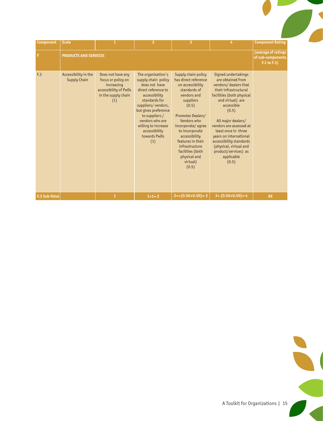| Component            | <b>Scale</b>                                |                                                                                                              | $\overline{2}$                                                                                                                                                                                                                                                        | 3                                                                                                                                                                                                                                                                                                                | 4                                                                                                                                                                                                                                                                                                                                                                        | <b>Component Rating</b> |
|----------------------|---------------------------------------------|--------------------------------------------------------------------------------------------------------------|-----------------------------------------------------------------------------------------------------------------------------------------------------------------------------------------------------------------------------------------------------------------------|------------------------------------------------------------------------------------------------------------------------------------------------------------------------------------------------------------------------------------------------------------------------------------------------------------------|--------------------------------------------------------------------------------------------------------------------------------------------------------------------------------------------------------------------------------------------------------------------------------------------------------------------------------------------------------------------------|-------------------------|
| F                    | <b>PRODUCTS AND SERVICES</b>                | (average of ratings<br>of sub-components<br>F.1 to F.3)                                                      |                                                                                                                                                                                                                                                                       |                                                                                                                                                                                                                                                                                                                  |                                                                                                                                                                                                                                                                                                                                                                          |                         |
| F.3                  | Accessibility in the<br><b>Supply Chain</b> | Does not have any<br>focus or policy on<br>increasing<br>accessibility of PwDs<br>in the supply chain<br>(1) | The organisation's<br>supply chain policy<br>does not have<br>direct reference to<br>accessibility<br>standards for<br>suppliers/vendors,<br>but gives preference<br>to suppliers /<br>vendors who are<br>willing to increase<br>accessibility<br>towards PwDs<br>(1) | Supply chain policy<br>has direct reference<br>on accessibility<br>standards of<br>vendors and<br>suppliers<br>(0.5)<br>Promotes Dealers/<br>Vendors who<br>incorporate/agree<br>to incorporate<br>accessibility<br>features in their<br>infrastructure<br>facilities (both<br>physical and<br>virtual)<br>(0.5) | Signed undertakings<br>are obtained from<br>vendors/ dealers that<br>their infrastructural<br>facilities (both physical<br>and virtual) are<br>accessible<br>(0.5)<br>All major dealers/<br>vendors are assessed at<br>least once in three<br>years on international<br>accessibility standards<br>(physical, virtual and<br>product/services) as<br>applicable<br>(0.5) |                         |
| <b>F.3 Sub-Total</b> |                                             | 1                                                                                                            | $1+1=2$                                                                                                                                                                                                                                                               | $2++(0.50+0.50)=3$                                                                                                                                                                                                                                                                                               | $3 + (0.50 + 0.50) = 4$                                                                                                                                                                                                                                                                                                                                                  | <b>XX</b>               |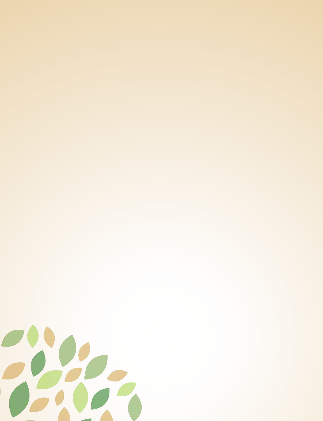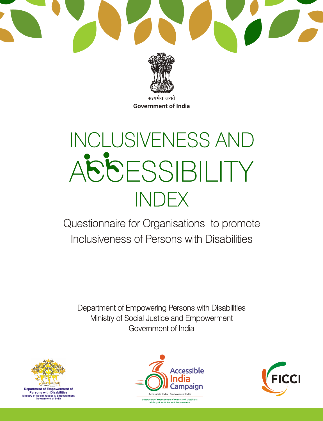



*ग्रात्यमेव जयते* **Government of India**

# INCLUSIVENESS AND ACCESSIBILITY INDEX

Questionnaire for Organisations to promote Inclusiveness of Persons with Disabilities

Department of Empowering Persons with Disabilities Ministry of Social Justice and Empowerment Government of India





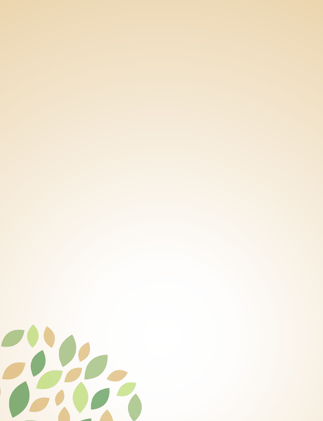